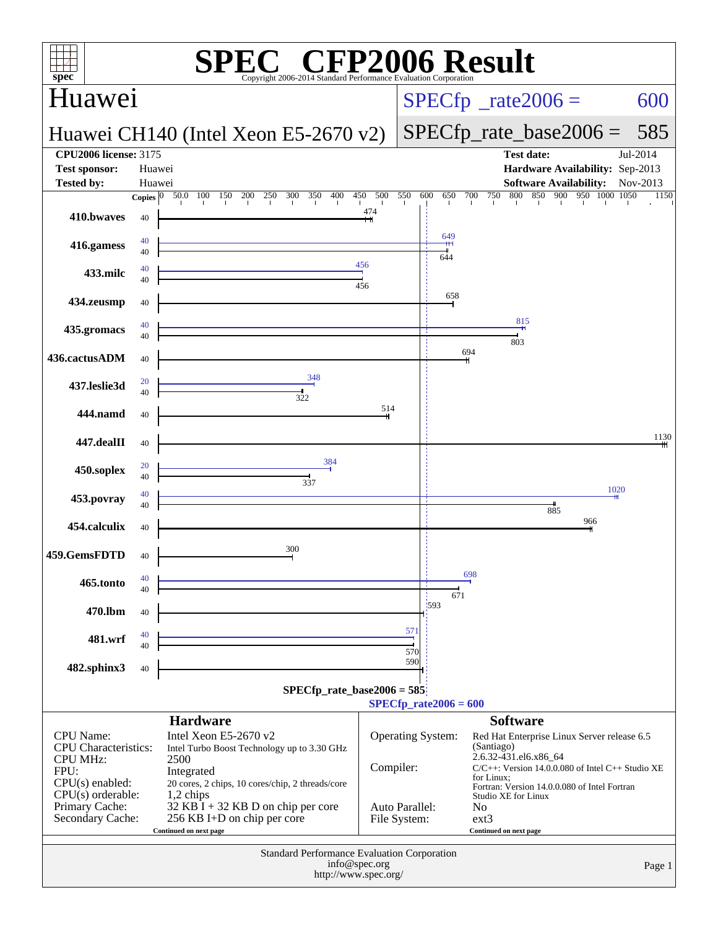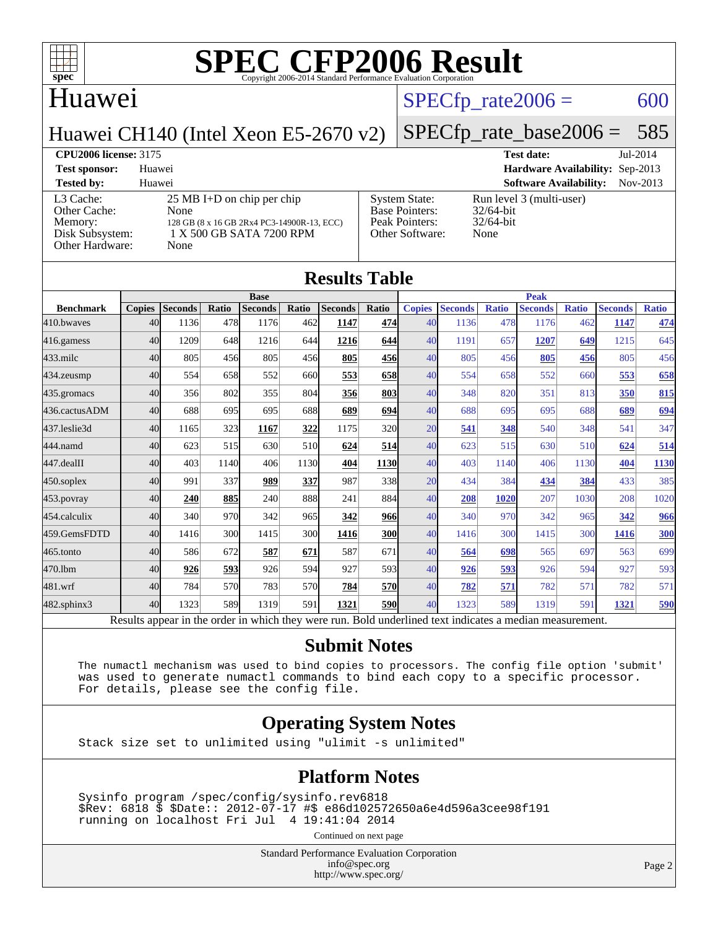

### Huawei

#### $SPECTp\_rate2006 = 600$

Huawei CH140 (Intel Xeon E5-2670 v2)

### [SPECfp\\_rate\\_base2006 =](http://www.spec.org/auto/cpu2006/Docs/result-fields.html#SPECfpratebase2006) 585

**[CPU2006 license:](http://www.spec.org/auto/cpu2006/Docs/result-fields.html#CPU2006license)** 3175 **[Test date:](http://www.spec.org/auto/cpu2006/Docs/result-fields.html#Testdate)** Jul-2014 **[Test sponsor:](http://www.spec.org/auto/cpu2006/Docs/result-fields.html#Testsponsor)** Huawei **[Hardware Availability:](http://www.spec.org/auto/cpu2006/Docs/result-fields.html#HardwareAvailability)** Sep-2013 **[Tested by:](http://www.spec.org/auto/cpu2006/Docs/result-fields.html#Testedby)** Huawei **[Software Availability:](http://www.spec.org/auto/cpu2006/Docs/result-fields.html#SoftwareAvailability)** Nov-2013 [L3 Cache:](http://www.spec.org/auto/cpu2006/Docs/result-fields.html#L3Cache) 25 MB I+D on chip per chip<br>Other Cache: None [Other Cache:](http://www.spec.org/auto/cpu2006/Docs/result-fields.html#OtherCache) [Memory:](http://www.spec.org/auto/cpu2006/Docs/result-fields.html#Memory) 128 GB (8 x 16 GB 2Rx4 PC3-14900R-13, ECC) [Disk Subsystem:](http://www.spec.org/auto/cpu2006/Docs/result-fields.html#DiskSubsystem) 1 X 500 GB SATA 7200 RPM [Other Hardware:](http://www.spec.org/auto/cpu2006/Docs/result-fields.html#OtherHardware) None [System State:](http://www.spec.org/auto/cpu2006/Docs/result-fields.html#SystemState) Run level 3 (multi-user)<br>Base Pointers: 32/64-bit [Base Pointers:](http://www.spec.org/auto/cpu2006/Docs/result-fields.html#BasePointers) [Peak Pointers:](http://www.spec.org/auto/cpu2006/Docs/result-fields.html#PeakPointers) 32/64-bit [Other Software:](http://www.spec.org/auto/cpu2006/Docs/result-fields.html#OtherSoftware) None

| <b>Results Table</b> |               |                |       |                |                 |                                                                                                          |              |               |                |              |                |              |                |              |
|----------------------|---------------|----------------|-------|----------------|-----------------|----------------------------------------------------------------------------------------------------------|--------------|---------------|----------------|--------------|----------------|--------------|----------------|--------------|
| <b>Base</b>          |               |                |       | <b>Peak</b>    |                 |                                                                                                          |              |               |                |              |                |              |                |              |
| <b>Benchmark</b>     | <b>Copies</b> | <b>Seconds</b> | Ratio | <b>Seconds</b> | Ratio           | <b>Seconds</b>                                                                                           | <b>Ratio</b> | <b>Copies</b> | <b>Seconds</b> | <b>Ratio</b> | <b>Seconds</b> | <b>Ratio</b> | <b>Seconds</b> | <b>Ratio</b> |
| 410.bwayes           | 40            | 1136           | 478   | 1176           | 462             | 1147                                                                                                     | 474l         | 40            | 1136           | 478          | 1176           | 462          | 1147           | 474          |
| 416.gamess           | 40            | 1209           | 648   | 1216           | 644             | 1216                                                                                                     | 644          | 40            | 1191           | 657          | 1207           | 649          | 1215           | 645          |
| $433$ .milc          | 40            | 805            | 456   | 805            | 456             | 805                                                                                                      | 456          | 40            | 805            | 456          | 805            | 456          | 805            | 456          |
| 434.zeusmp           | 40            | 554            | 658   | 552            | 660l            | 553                                                                                                      | 658          | 40            | 554            | 658          | 552            | 660          | 553            | 658          |
| 435.gromacs          | 40            | 356            | 802   | 355            | 804             | 356                                                                                                      | 803          | 40            | 348            | 820          | 351            | 813          | 350            | 815          |
| 436.cactusADM        | 40            | 688            | 695   | 695            | 688l            | 689                                                                                                      | 694          | 40            | 688            | 695          | 695            | 688          | 689            | 694          |
| 437.leslie3d         | 40            | 1165           | 323   | 1167           | 322             | 1175                                                                                                     | <b>320</b>   | 20            | 541            | 348          | 540            | 348          | 541            | 347          |
| 444.namd             | 40            | 623            | 515   | 630            | 51 <sub>0</sub> | 624                                                                                                      | 514          | 40            | 623            | 515          | 630            | 510          | 624            | 514          |
| 447.dealII           | 40            | 403            | 1140  | 406            | 1130            | 404                                                                                                      | <b>1130</b>  | 40            | 403            | 1140         | 406            | 1130         | 404            | <b>1130</b>  |
| $450$ .soplex        | 40            | 991            | 337   | 989            | 337             | 987                                                                                                      | 338          | 20            | 434            | 384          | 434            | 384          | 433            | 385          |
| $453$ .povray        | 40            | 240            | 885   | 240            | 888l            | 241                                                                                                      | 884          | 40            | 208            | 1020         | 207            | 1030         | 208            | 1020         |
| 454.calculix         | 40            | 340            | 970   | 342            | 965l            | 342                                                                                                      | 966          | 40            | 340            | 970          | 342            | 965          | 342            | 966          |
| 459.GemsFDTD         | 40            | 1416           | 300   | 1415           | 300l            | 1416                                                                                                     | <b>300</b>   | 40            | 1416           | 300          | 1415           | 300          | 1416           | 300          |
| 465.tonto            | 40            | 586            | 672   | 587            | 671             | 587                                                                                                      | 671          | 40            | 564            | 698          | 565            | 697          | 563            | 699          |
| 470.1bm              | 40            | 926            | 593   | 926            | 594             | 927                                                                                                      | 593          | 40            | 926            | 593          | 926            | 594          | 927            | 593          |
| 481.wrf              | 40            | 784            | 570   | 783            | 570l            | 784                                                                                                      | <b>570</b>   | 40            | 782            | 571          | 782            | 571          | 782            | 571          |
| 482.sphinx3          | 40            | 1323           | 589   | 1319           | 591             | 1321                                                                                                     | <b>590</b>   | 40            | 1323           | 589          | 1319           | 591          | 1321           | 590          |
|                      |               |                |       |                |                 | Results appear in the order in which they were run. Bold underlined text indicates a median measurement. |              |               |                |              |                |              |                |              |

#### **[Submit Notes](http://www.spec.org/auto/cpu2006/Docs/result-fields.html#SubmitNotes)**

 The numactl mechanism was used to bind copies to processors. The config file option 'submit' was used to generate numactl commands to bind each copy to a specific processor. For details, please see the config file.

#### **[Operating System Notes](http://www.spec.org/auto/cpu2006/Docs/result-fields.html#OperatingSystemNotes)**

Stack size set to unlimited using "ulimit -s unlimited"

#### **[Platform Notes](http://www.spec.org/auto/cpu2006/Docs/result-fields.html#PlatformNotes)**

 Sysinfo program /spec/config/sysinfo.rev6818 \$Rev: 6818 \$ \$Date:: 2012-07-17 #\$ e86d102572650a6e4d596a3cee98f191 running on localhost Fri Jul 4 19:41:04 2014

Continued on next page

Standard Performance Evaluation Corporation [info@spec.org](mailto:info@spec.org) <http://www.spec.org/>

Page 2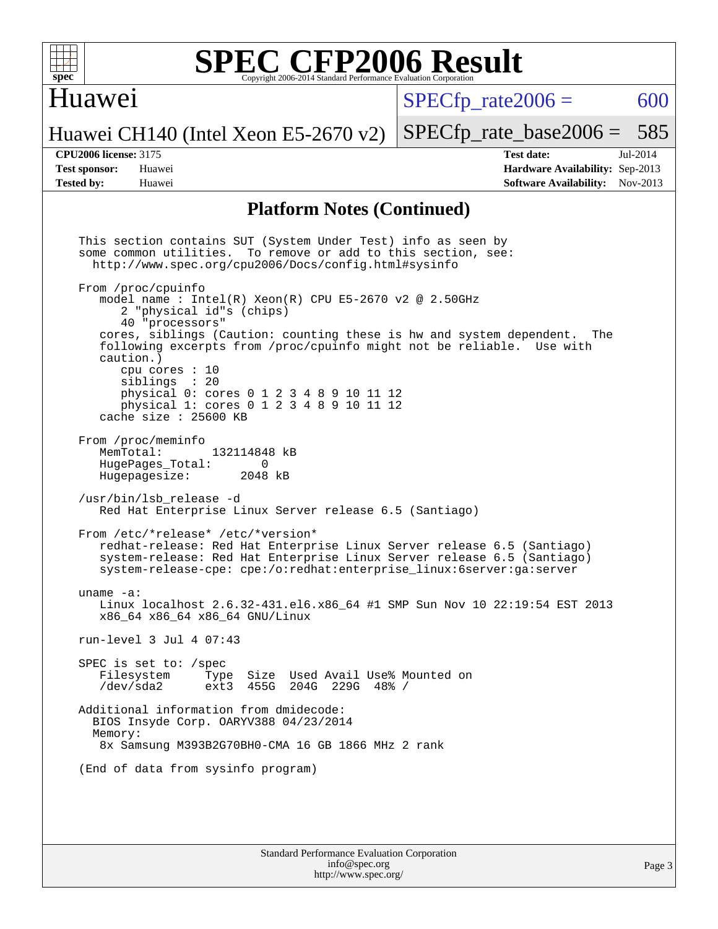

### Huawei

 $SPECTp\_rate2006 = 600$ 

Huawei CH140 (Intel Xeon E5-2670 v2)

[SPECfp\\_rate\\_base2006 =](http://www.spec.org/auto/cpu2006/Docs/result-fields.html#SPECfpratebase2006) 585

**[CPU2006 license:](http://www.spec.org/auto/cpu2006/Docs/result-fields.html#CPU2006license)** 3175 **[Test date:](http://www.spec.org/auto/cpu2006/Docs/result-fields.html#Testdate)** Jul-2014 **[Test sponsor:](http://www.spec.org/auto/cpu2006/Docs/result-fields.html#Testsponsor)** Huawei **[Hardware Availability:](http://www.spec.org/auto/cpu2006/Docs/result-fields.html#HardwareAvailability)** Sep-2013 **[Tested by:](http://www.spec.org/auto/cpu2006/Docs/result-fields.html#Testedby)** Huawei **[Software Availability:](http://www.spec.org/auto/cpu2006/Docs/result-fields.html#SoftwareAvailability)** Nov-2013

#### **[Platform Notes \(Continued\)](http://www.spec.org/auto/cpu2006/Docs/result-fields.html#PlatformNotes)**

 This section contains SUT (System Under Test) info as seen by some common utilities. To remove or add to this section, see: <http://www.spec.org/cpu2006/Docs/config.html#sysinfo> From /proc/cpuinfo model name : Intel $(R)$  Xeon $(R)$  CPU E5-2670 v2 @ 2.50GHz 2 "physical id"s (chips) 40 "processors" cores, siblings (Caution: counting these is hw and system dependent. The following excerpts from /proc/cpuinfo might not be reliable. Use with caution.) cpu cores : 10 siblings : 20 physical 0: cores 0 1 2 3 4 8 9 10 11 12 physical 1: cores 0 1 2 3 4 8 9 10 11 12 cache size : 25600 KB From /proc/meminfo<br>MemTotal: 132114848 kB HugePages\_Total: 0<br>Hugepagesize: 2048 kB Hugepagesize: /usr/bin/lsb\_release -d Red Hat Enterprise Linux Server release 6.5 (Santiago) From /etc/\*release\* /etc/\*version\* redhat-release: Red Hat Enterprise Linux Server release 6.5 (Santiago) system-release: Red Hat Enterprise Linux Server release 6.5 (Santiago) system-release-cpe: cpe:/o:redhat:enterprise\_linux:6server:ga:server uname -a: Linux localhost 2.6.32-431.el6.x86\_64 #1 SMP Sun Nov 10 22:19:54 EST 2013 x86\_64 x86\_64 x86\_64 GNU/Linux run-level 3 Jul 4 07:43 SPEC is set to: /spec<br>Filesystem Type Type Size Used Avail Use% Mounted on /dev/sda2 ext3 455G 204G 229G 48% / Additional information from dmidecode: BIOS Insyde Corp. OARYV388 04/23/2014 Memory: 8x Samsung M393B2G70BH0-CMA 16 GB 1866 MHz 2 rank (End of data from sysinfo program)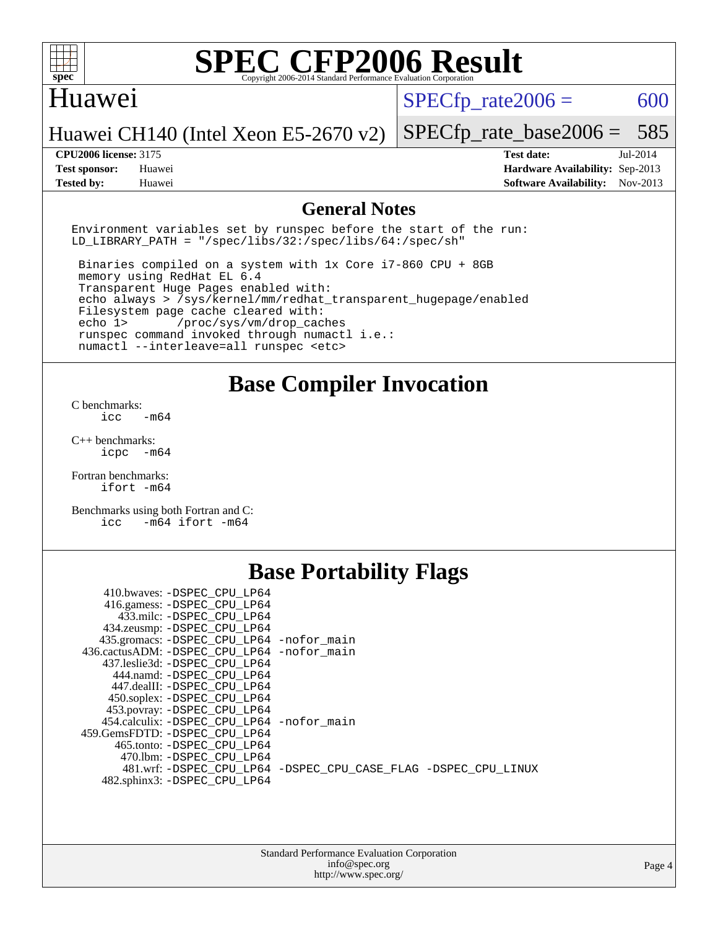

#### Huawei

 $SPECTp\_rate2006 = 600$ 

Huawei CH140 (Intel Xeon E5-2670 v2)

**[Tested by:](http://www.spec.org/auto/cpu2006/Docs/result-fields.html#Testedby)** Huawei **[Software Availability:](http://www.spec.org/auto/cpu2006/Docs/result-fields.html#SoftwareAvailability)** Nov-2013

[SPECfp\\_rate\\_base2006 =](http://www.spec.org/auto/cpu2006/Docs/result-fields.html#SPECfpratebase2006) 585 **[CPU2006 license:](http://www.spec.org/auto/cpu2006/Docs/result-fields.html#CPU2006license)** 3175 **[Test date:](http://www.spec.org/auto/cpu2006/Docs/result-fields.html#Testdate)** Jul-2014 **[Test sponsor:](http://www.spec.org/auto/cpu2006/Docs/result-fields.html#Testsponsor)** Huawei **[Hardware Availability:](http://www.spec.org/auto/cpu2006/Docs/result-fields.html#HardwareAvailability)** Sep-2013

#### **[General Notes](http://www.spec.org/auto/cpu2006/Docs/result-fields.html#GeneralNotes)**

Environment variables set by runspec before the start of the run: LD LIBRARY PATH = "/spec/libs/32:/spec/libs/64:/spec/sh"

 Binaries compiled on a system with 1x Core i7-860 CPU + 8GB memory using RedHat EL 6.4 Transparent Huge Pages enabled with: echo always > /sys/kernel/mm/redhat\_transparent\_hugepage/enabled Filesystem page cache cleared with: echo 1> /proc/sys/vm/drop\_caches runspec command invoked through numactl i.e.: numactl --interleave=all runspec <etc>

**[Base Compiler Invocation](http://www.spec.org/auto/cpu2006/Docs/result-fields.html#BaseCompilerInvocation)**

[C benchmarks](http://www.spec.org/auto/cpu2006/Docs/result-fields.html#Cbenchmarks):  $\text{icc}$   $-\text{m64}$ 

[C++ benchmarks:](http://www.spec.org/auto/cpu2006/Docs/result-fields.html#CXXbenchmarks) [icpc -m64](http://www.spec.org/cpu2006/results/res2014q3/cpu2006-20140718-30509.flags.html#user_CXXbase_intel_icpc_64bit_bedb90c1146cab66620883ef4f41a67e)

[Fortran benchmarks](http://www.spec.org/auto/cpu2006/Docs/result-fields.html#Fortranbenchmarks): [ifort -m64](http://www.spec.org/cpu2006/results/res2014q3/cpu2006-20140718-30509.flags.html#user_FCbase_intel_ifort_64bit_ee9d0fb25645d0210d97eb0527dcc06e)

[Benchmarks using both Fortran and C](http://www.spec.org/auto/cpu2006/Docs/result-fields.html#BenchmarksusingbothFortranandC): [icc -m64](http://www.spec.org/cpu2006/results/res2014q3/cpu2006-20140718-30509.flags.html#user_CC_FCbase_intel_icc_64bit_0b7121f5ab7cfabee23d88897260401c) [ifort -m64](http://www.spec.org/cpu2006/results/res2014q3/cpu2006-20140718-30509.flags.html#user_CC_FCbase_intel_ifort_64bit_ee9d0fb25645d0210d97eb0527dcc06e)

## **[Base Portability Flags](http://www.spec.org/auto/cpu2006/Docs/result-fields.html#BasePortabilityFlags)**

| 410.bwaves: -DSPEC CPU LP64                 |                                                                |
|---------------------------------------------|----------------------------------------------------------------|
| 416.gamess: -DSPEC_CPU_LP64                 |                                                                |
| 433.milc: -DSPEC CPU LP64                   |                                                                |
| 434.zeusmp: - DSPEC_CPU_LP64                |                                                                |
| 435.gromacs: -DSPEC_CPU_LP64 -nofor_main    |                                                                |
| 436.cactusADM: -DSPEC CPU LP64 -nofor main  |                                                                |
| 437.leslie3d: -DSPEC CPU LP64               |                                                                |
| 444.namd: -DSPEC CPU LP64                   |                                                                |
| 447.dealII: -DSPEC_CPU LP64                 |                                                                |
| 450.soplex: -DSPEC_CPU_LP64                 |                                                                |
| 453.povray: -DSPEC CPU LP64                 |                                                                |
| 454.calculix: - DSPEC CPU LP64 - nofor main |                                                                |
| 459. GemsFDTD: - DSPEC CPU LP64             |                                                                |
| 465.tonto: - DSPEC CPU LP64                 |                                                                |
| 470.1bm: - DSPEC CPU LP64                   |                                                                |
|                                             | 481.wrf: -DSPEC CPU_LP64 -DSPEC_CPU_CASE_FLAG -DSPEC_CPU_LINUX |
| 482.sphinx3: -DSPEC CPU LP64                |                                                                |
|                                             |                                                                |

| <b>Standard Performance Evaluation Corporation</b> |
|----------------------------------------------------|
| info@spec.org                                      |
| http://www.spec.org/                               |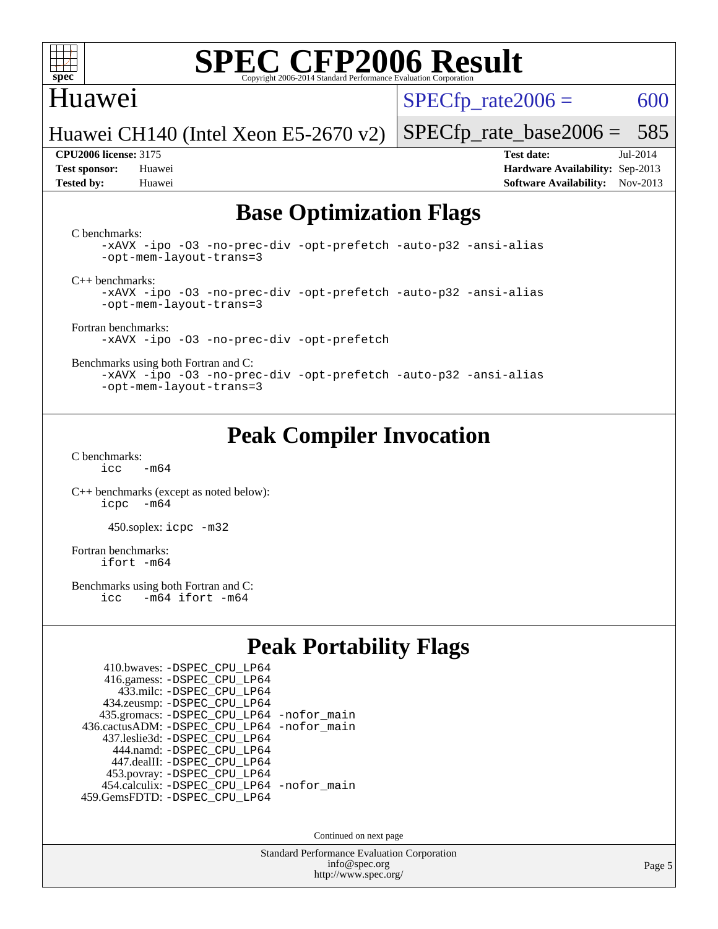

### Huawei

 $SPECTp\_rate2006 = 600$ 

[SPECfp\\_rate\\_base2006 =](http://www.spec.org/auto/cpu2006/Docs/result-fields.html#SPECfpratebase2006) 585

Huawei CH140 (Intel Xeon E5-2670 v2)

**[Tested by:](http://www.spec.org/auto/cpu2006/Docs/result-fields.html#Testedby)** Huawei **[Software Availability:](http://www.spec.org/auto/cpu2006/Docs/result-fields.html#SoftwareAvailability)** Nov-2013

**[CPU2006 license:](http://www.spec.org/auto/cpu2006/Docs/result-fields.html#CPU2006license)** 3175 **[Test date:](http://www.spec.org/auto/cpu2006/Docs/result-fields.html#Testdate)** Jul-2014 **[Test sponsor:](http://www.spec.org/auto/cpu2006/Docs/result-fields.html#Testsponsor)** Huawei **[Hardware Availability:](http://www.spec.org/auto/cpu2006/Docs/result-fields.html#HardwareAvailability)** Sep-2013

## **[Base Optimization Flags](http://www.spec.org/auto/cpu2006/Docs/result-fields.html#BaseOptimizationFlags)**

[C benchmarks](http://www.spec.org/auto/cpu2006/Docs/result-fields.html#Cbenchmarks):

[-xAVX](http://www.spec.org/cpu2006/results/res2014q3/cpu2006-20140718-30509.flags.html#user_CCbase_f-xAVX) [-ipo](http://www.spec.org/cpu2006/results/res2014q3/cpu2006-20140718-30509.flags.html#user_CCbase_f-ipo) [-O3](http://www.spec.org/cpu2006/results/res2014q3/cpu2006-20140718-30509.flags.html#user_CCbase_f-O3) [-no-prec-div](http://www.spec.org/cpu2006/results/res2014q3/cpu2006-20140718-30509.flags.html#user_CCbase_f-no-prec-div) [-opt-prefetch](http://www.spec.org/cpu2006/results/res2014q3/cpu2006-20140718-30509.flags.html#user_CCbase_f-opt-prefetch) [-auto-p32](http://www.spec.org/cpu2006/results/res2014q3/cpu2006-20140718-30509.flags.html#user_CCbase_f-auto-p32) [-ansi-alias](http://www.spec.org/cpu2006/results/res2014q3/cpu2006-20140718-30509.flags.html#user_CCbase_f-ansi-alias) [-opt-mem-layout-trans=3](http://www.spec.org/cpu2006/results/res2014q3/cpu2006-20140718-30509.flags.html#user_CCbase_f-opt-mem-layout-trans_a7b82ad4bd7abf52556d4961a2ae94d5)

[C++ benchmarks:](http://www.spec.org/auto/cpu2006/Docs/result-fields.html#CXXbenchmarks)

[-xAVX](http://www.spec.org/cpu2006/results/res2014q3/cpu2006-20140718-30509.flags.html#user_CXXbase_f-xAVX) [-ipo](http://www.spec.org/cpu2006/results/res2014q3/cpu2006-20140718-30509.flags.html#user_CXXbase_f-ipo) [-O3](http://www.spec.org/cpu2006/results/res2014q3/cpu2006-20140718-30509.flags.html#user_CXXbase_f-O3) [-no-prec-div](http://www.spec.org/cpu2006/results/res2014q3/cpu2006-20140718-30509.flags.html#user_CXXbase_f-no-prec-div) [-opt-prefetch](http://www.spec.org/cpu2006/results/res2014q3/cpu2006-20140718-30509.flags.html#user_CXXbase_f-opt-prefetch) [-auto-p32](http://www.spec.org/cpu2006/results/res2014q3/cpu2006-20140718-30509.flags.html#user_CXXbase_f-auto-p32) [-ansi-alias](http://www.spec.org/cpu2006/results/res2014q3/cpu2006-20140718-30509.flags.html#user_CXXbase_f-ansi-alias) [-opt-mem-layout-trans=3](http://www.spec.org/cpu2006/results/res2014q3/cpu2006-20140718-30509.flags.html#user_CXXbase_f-opt-mem-layout-trans_a7b82ad4bd7abf52556d4961a2ae94d5)

[Fortran benchmarks](http://www.spec.org/auto/cpu2006/Docs/result-fields.html#Fortranbenchmarks):

[-xAVX](http://www.spec.org/cpu2006/results/res2014q3/cpu2006-20140718-30509.flags.html#user_FCbase_f-xAVX) [-ipo](http://www.spec.org/cpu2006/results/res2014q3/cpu2006-20140718-30509.flags.html#user_FCbase_f-ipo) [-O3](http://www.spec.org/cpu2006/results/res2014q3/cpu2006-20140718-30509.flags.html#user_FCbase_f-O3) [-no-prec-div](http://www.spec.org/cpu2006/results/res2014q3/cpu2006-20140718-30509.flags.html#user_FCbase_f-no-prec-div) [-opt-prefetch](http://www.spec.org/cpu2006/results/res2014q3/cpu2006-20140718-30509.flags.html#user_FCbase_f-opt-prefetch)

[Benchmarks using both Fortran and C](http://www.spec.org/auto/cpu2006/Docs/result-fields.html#BenchmarksusingbothFortranandC):

[-xAVX](http://www.spec.org/cpu2006/results/res2014q3/cpu2006-20140718-30509.flags.html#user_CC_FCbase_f-xAVX) [-ipo](http://www.spec.org/cpu2006/results/res2014q3/cpu2006-20140718-30509.flags.html#user_CC_FCbase_f-ipo) [-O3](http://www.spec.org/cpu2006/results/res2014q3/cpu2006-20140718-30509.flags.html#user_CC_FCbase_f-O3) [-no-prec-div](http://www.spec.org/cpu2006/results/res2014q3/cpu2006-20140718-30509.flags.html#user_CC_FCbase_f-no-prec-div) [-opt-prefetch](http://www.spec.org/cpu2006/results/res2014q3/cpu2006-20140718-30509.flags.html#user_CC_FCbase_f-opt-prefetch) [-auto-p32](http://www.spec.org/cpu2006/results/res2014q3/cpu2006-20140718-30509.flags.html#user_CC_FCbase_f-auto-p32) [-ansi-alias](http://www.spec.org/cpu2006/results/res2014q3/cpu2006-20140718-30509.flags.html#user_CC_FCbase_f-ansi-alias) [-opt-mem-layout-trans=3](http://www.spec.org/cpu2006/results/res2014q3/cpu2006-20140718-30509.flags.html#user_CC_FCbase_f-opt-mem-layout-trans_a7b82ad4bd7abf52556d4961a2ae94d5)

## **[Peak Compiler Invocation](http://www.spec.org/auto/cpu2006/Docs/result-fields.html#PeakCompilerInvocation)**

[C benchmarks](http://www.spec.org/auto/cpu2006/Docs/result-fields.html#Cbenchmarks):  $icc$   $-m64$ 

[C++ benchmarks \(except as noted below\):](http://www.spec.org/auto/cpu2006/Docs/result-fields.html#CXXbenchmarksexceptasnotedbelow) [icpc -m64](http://www.spec.org/cpu2006/results/res2014q3/cpu2006-20140718-30509.flags.html#user_CXXpeak_intel_icpc_64bit_bedb90c1146cab66620883ef4f41a67e)

450.soplex: [icpc -m32](http://www.spec.org/cpu2006/results/res2014q3/cpu2006-20140718-30509.flags.html#user_peakCXXLD450_soplex_intel_icpc_4e5a5ef1a53fd332b3c49e69c3330699)

[Fortran benchmarks](http://www.spec.org/auto/cpu2006/Docs/result-fields.html#Fortranbenchmarks): [ifort -m64](http://www.spec.org/cpu2006/results/res2014q3/cpu2006-20140718-30509.flags.html#user_FCpeak_intel_ifort_64bit_ee9d0fb25645d0210d97eb0527dcc06e)

[Benchmarks using both Fortran and C](http://www.spec.org/auto/cpu2006/Docs/result-fields.html#BenchmarksusingbothFortranandC):<br>icc -m64 ifort -m64  $-m64$  ifort  $-m64$ 

## **[Peak Portability Flags](http://www.spec.org/auto/cpu2006/Docs/result-fields.html#PeakPortabilityFlags)**

| 410.bwaves: - DSPEC CPU LP64                |  |
|---------------------------------------------|--|
| 416.gamess: -DSPEC_CPU_LP64                 |  |
| 433.milc: - DSPEC_CPU LP64                  |  |
| 434.zeusmp: -DSPEC_CPU_LP64                 |  |
| 435.gromacs: -DSPEC_CPU_LP64 -nofor_main    |  |
| 436.cactusADM: -DSPEC CPU LP64 -nofor main  |  |
| 437.leslie3d: -DSPEC CPU LP64               |  |
| 444.namd: - DSPEC CPU LP64                  |  |
| 447.dealII: -DSPEC CPU LP64                 |  |
| 453.povray: -DSPEC_CPU_LP64                 |  |
| 454.calculix: - DSPEC CPU LP64 - nofor main |  |
| 459.GemsFDTD: - DSPEC_CPU_LP64              |  |

Continued on next page

Standard Performance Evaluation Corporation [info@spec.org](mailto:info@spec.org) <http://www.spec.org/>

Page 5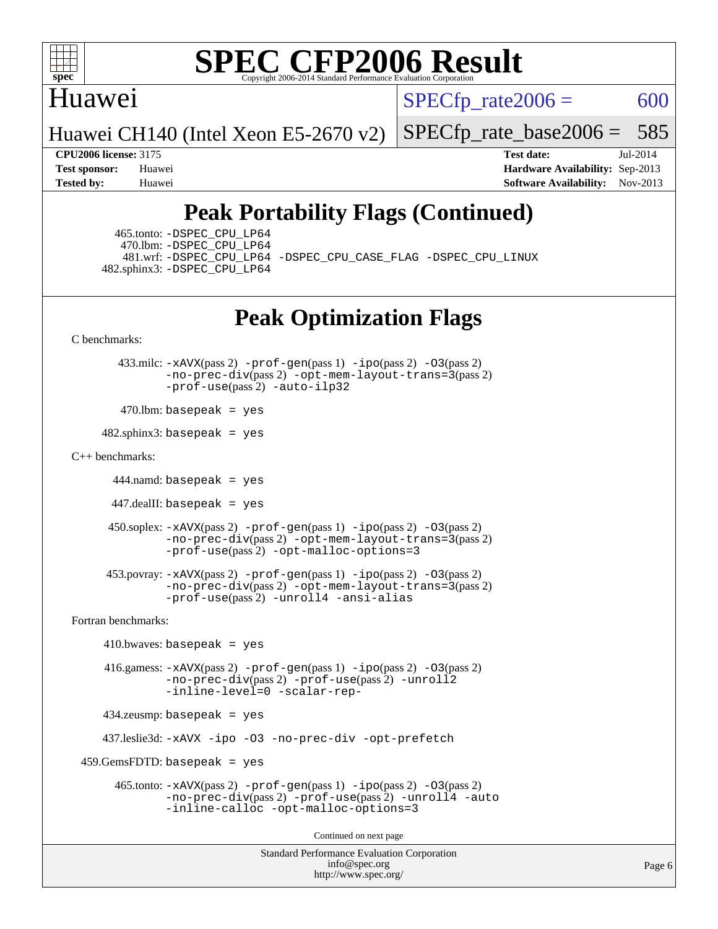

### Huawei

 $SPECTp\_rate2006 = 600$ 

Huawei CH140 (Intel Xeon E5-2670 v2)

[SPECfp\\_rate\\_base2006 =](http://www.spec.org/auto/cpu2006/Docs/result-fields.html#SPECfpratebase2006) 585

**[CPU2006 license:](http://www.spec.org/auto/cpu2006/Docs/result-fields.html#CPU2006license)** 3175 **[Test date:](http://www.spec.org/auto/cpu2006/Docs/result-fields.html#Testdate)** Jul-2014 **[Test sponsor:](http://www.spec.org/auto/cpu2006/Docs/result-fields.html#Testsponsor)** Huawei **[Hardware Availability:](http://www.spec.org/auto/cpu2006/Docs/result-fields.html#HardwareAvailability)** Sep-2013 **[Tested by:](http://www.spec.org/auto/cpu2006/Docs/result-fields.html#Testedby)** Huawei **[Software Availability:](http://www.spec.org/auto/cpu2006/Docs/result-fields.html#SoftwareAvailability)** Nov-2013

## **[Peak Portability Flags \(Continued\)](http://www.spec.org/auto/cpu2006/Docs/result-fields.html#PeakPortabilityFlags)**

 465.tonto: [-DSPEC\\_CPU\\_LP64](http://www.spec.org/cpu2006/results/res2014q3/cpu2006-20140718-30509.flags.html#suite_peakPORTABILITY465_tonto_DSPEC_CPU_LP64) 470.lbm: [-DSPEC\\_CPU\\_LP64](http://www.spec.org/cpu2006/results/res2014q3/cpu2006-20140718-30509.flags.html#suite_peakPORTABILITY470_lbm_DSPEC_CPU_LP64) 482.sphinx3: [-DSPEC\\_CPU\\_LP64](http://www.spec.org/cpu2006/results/res2014q3/cpu2006-20140718-30509.flags.html#suite_peakPORTABILITY482_sphinx3_DSPEC_CPU_LP64)

481.wrf: [-DSPEC\\_CPU\\_LP64](http://www.spec.org/cpu2006/results/res2014q3/cpu2006-20140718-30509.flags.html#suite_peakPORTABILITY481_wrf_DSPEC_CPU_LP64) [-DSPEC\\_CPU\\_CASE\\_FLAG](http://www.spec.org/cpu2006/results/res2014q3/cpu2006-20140718-30509.flags.html#b481.wrf_peakCPORTABILITY_DSPEC_CPU_CASE_FLAG) [-DSPEC\\_CPU\\_LINUX](http://www.spec.org/cpu2006/results/res2014q3/cpu2006-20140718-30509.flags.html#b481.wrf_peakCPORTABILITY_DSPEC_CPU_LINUX)

## **[Peak Optimization Flags](http://www.spec.org/auto/cpu2006/Docs/result-fields.html#PeakOptimizationFlags)**

[C benchmarks](http://www.spec.org/auto/cpu2006/Docs/result-fields.html#Cbenchmarks):

 433.milc: [-xAVX](http://www.spec.org/cpu2006/results/res2014q3/cpu2006-20140718-30509.flags.html#user_peakPASS2_CFLAGSPASS2_LDFLAGS433_milc_f-xAVX)(pass 2) [-prof-gen](http://www.spec.org/cpu2006/results/res2014q3/cpu2006-20140718-30509.flags.html#user_peakPASS1_CFLAGSPASS1_LDFLAGS433_milc_prof_gen_e43856698f6ca7b7e442dfd80e94a8fc)(pass 1) [-ipo](http://www.spec.org/cpu2006/results/res2014q3/cpu2006-20140718-30509.flags.html#user_peakPASS2_CFLAGSPASS2_LDFLAGS433_milc_f-ipo)(pass 2) [-O3](http://www.spec.org/cpu2006/results/res2014q3/cpu2006-20140718-30509.flags.html#user_peakPASS2_CFLAGSPASS2_LDFLAGS433_milc_f-O3)(pass 2) [-no-prec-div](http://www.spec.org/cpu2006/results/res2014q3/cpu2006-20140718-30509.flags.html#user_peakPASS2_CFLAGSPASS2_LDFLAGS433_milc_f-no-prec-div)(pass 2) [-opt-mem-layout-trans=3](http://www.spec.org/cpu2006/results/res2014q3/cpu2006-20140718-30509.flags.html#user_peakPASS2_CFLAGS433_milc_f-opt-mem-layout-trans_a7b82ad4bd7abf52556d4961a2ae94d5)(pass 2) [-prof-use](http://www.spec.org/cpu2006/results/res2014q3/cpu2006-20140718-30509.flags.html#user_peakPASS2_CFLAGSPASS2_LDFLAGS433_milc_prof_use_bccf7792157ff70d64e32fe3e1250b55)(pass 2) [-auto-ilp32](http://www.spec.org/cpu2006/results/res2014q3/cpu2006-20140718-30509.flags.html#user_peakCOPTIMIZE433_milc_f-auto-ilp32)

 $470$ .lbm: basepeak = yes

 $482$ .sphinx3: basepeak = yes

#### [C++ benchmarks:](http://www.spec.org/auto/cpu2006/Docs/result-fields.html#CXXbenchmarks)

444.namd: basepeak = yes

447.dealII: basepeak = yes

```
 450.soplex: -xAVX(pass 2) -prof-gen(pass 1) -ipo(pass 2) -O3(pass 2)
         -no-prec-div(pass 2) -opt-mem-layout-trans=3(pass 2)
         -prof-use(pass 2) -opt-malloc-options=3
```

```
 453.povray: -xAVX(pass 2) -prof-gen(pass 1) -ipo(pass 2) -O3(pass 2)
          -no-prec-div(pass 2) -opt-mem-layout-trans=3(pass 2)
          -prof-use(pass 2) -unroll4 -ansi-alias
```
[Fortran benchmarks](http://www.spec.org/auto/cpu2006/Docs/result-fields.html#Fortranbenchmarks):

```
410.bwaves: basepeak = yes 416.gamess: -xAVX(pass 2) -prof-gen(pass 1) -ipo(pass 2) -O3(pass 2)
              -no-prec-div(pass 2) -prof-use(pass 2) -unroll2
             -inline-level=0 -scalar-rep-
    434.zeusmp: basepeak = yes
    437.leslie3d: -xAVX -ipo -O3 -no-prec-div -opt-prefetch
459.GemsFDTD: basepeak = yes 465.tonto: -xAVX(pass 2) -prof-gen(pass 1) -ipo(pass 2) -O3(pass 2)
             -no-prec-div(pass 2) -prof-use(pass 2) -unroll4 -auto
             -inline-calloc -opt-malloc-options=3
```
Continued on next page

```
Standard Performance Evaluation Corporation
              info@spec.org
           http://www.spec.org/
```